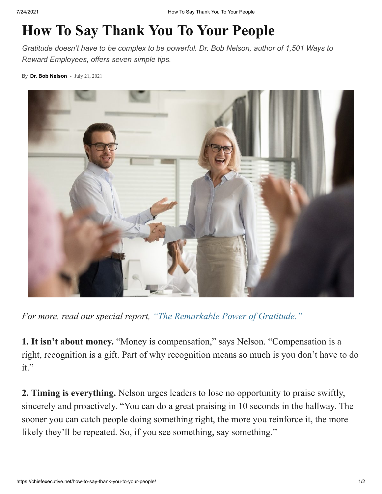## **How To Say Thank You To Your People**

*Gratitude doesn't have to be complex to be powerful. Dr. Bob Nelson, author of 1,501 Ways to Reward Employees, offers seven simple tips.*

By **[Dr. Bob Nelson](https://chiefexecutive.net/author/bobnelson1/)** - July 21, 2021



*For more, read our special report, ["The Remarkable Power of Gratitude."](https://chiefexecutive.net/the-remarkable-power-of-gratitude/)*

**1. It isn't about money.** "Money is compensation," says Nelson. "Compensation is a right, recognition is a gift. Part of why recognition means so much is you don't have to do it."

**2. Timing is everything.** Nelson urges leaders to lose no opportunity to praise swiftly, sincerely and proactively. "You can do a great praising in 10 seconds in the hallway. The sooner you can catch people doing something right, the more you reinforce it, the more likely they'll be repeated. So, if you see something, say something."